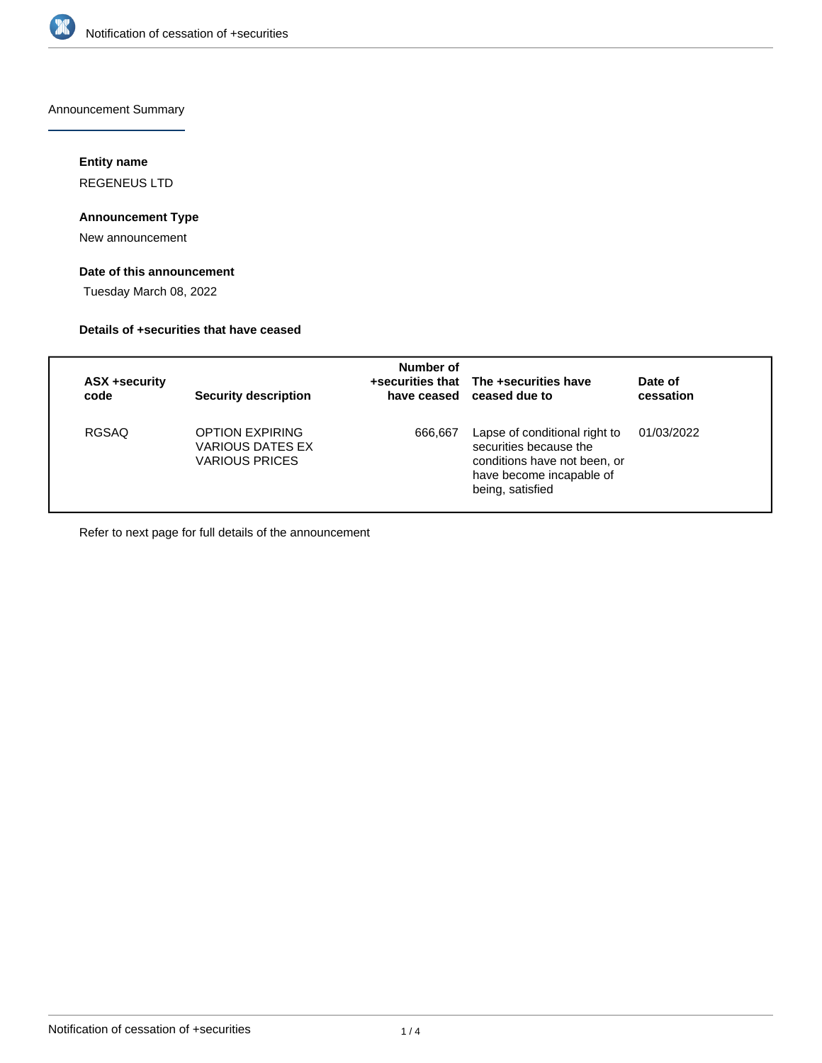

Announcement Summary

# **Entity name**

REGENEUS LTD

# **Announcement Type**

New announcement

# **Date of this announcement**

Tuesday March 08, 2022

### **Details of +securities that have ceased**

| <b>ASX +security</b><br>code | <b>Security description</b>                                                | Number of | +securities that The +securities have<br>have ceased ceased due to                                                                      | Date of<br>cessation |
|------------------------------|----------------------------------------------------------------------------|-----------|-----------------------------------------------------------------------------------------------------------------------------------------|----------------------|
| <b>RGSAQ</b>                 | <b>OPTION EXPIRING</b><br><b>VARIOUS DATES EX</b><br><b>VARIOUS PRICES</b> | 666,667   | Lapse of conditional right to<br>securities because the<br>conditions have not been, or<br>have become incapable of<br>being, satisfied | 01/03/2022           |

Refer to next page for full details of the announcement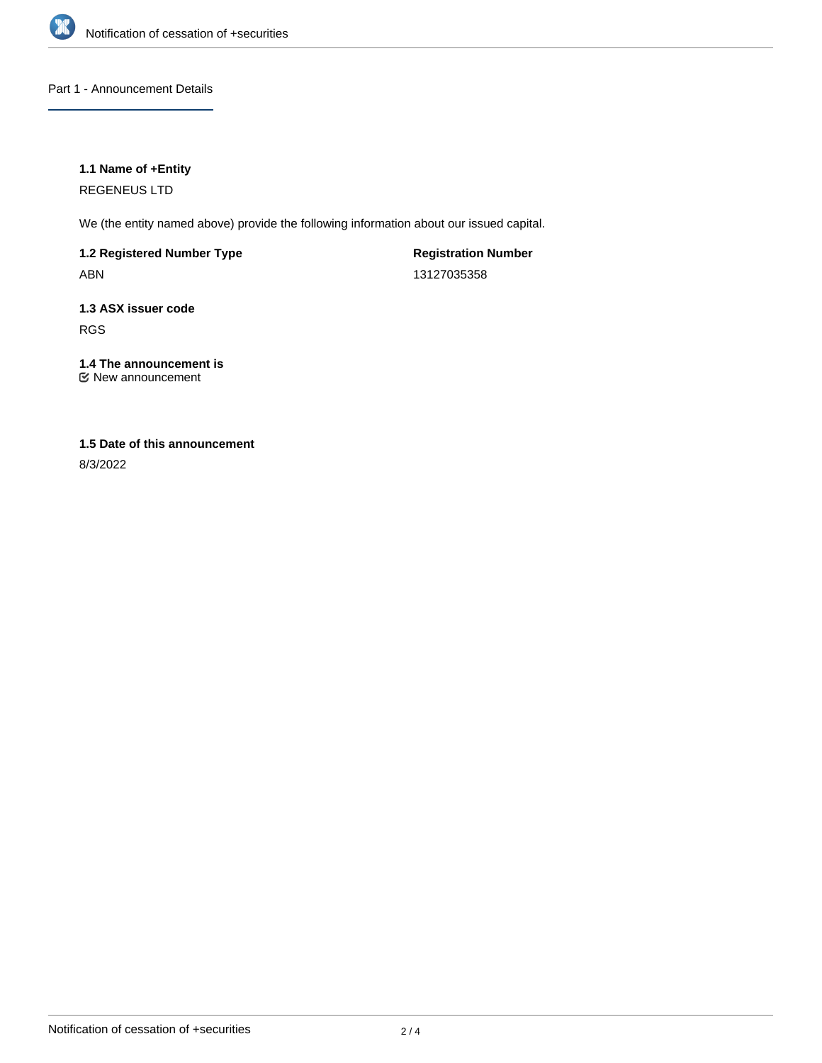

Part 1 - Announcement Details

# **1.1 Name of +Entity**

REGENEUS LTD

We (the entity named above) provide the following information about our issued capital.

**1.2 Registered Number Type**

ABN

**Registration Number** 13127035358

**1.3 ASX issuer code** RGS

#### **1.4 The announcement is** New announcement

# **1.5 Date of this announcement**

8/3/2022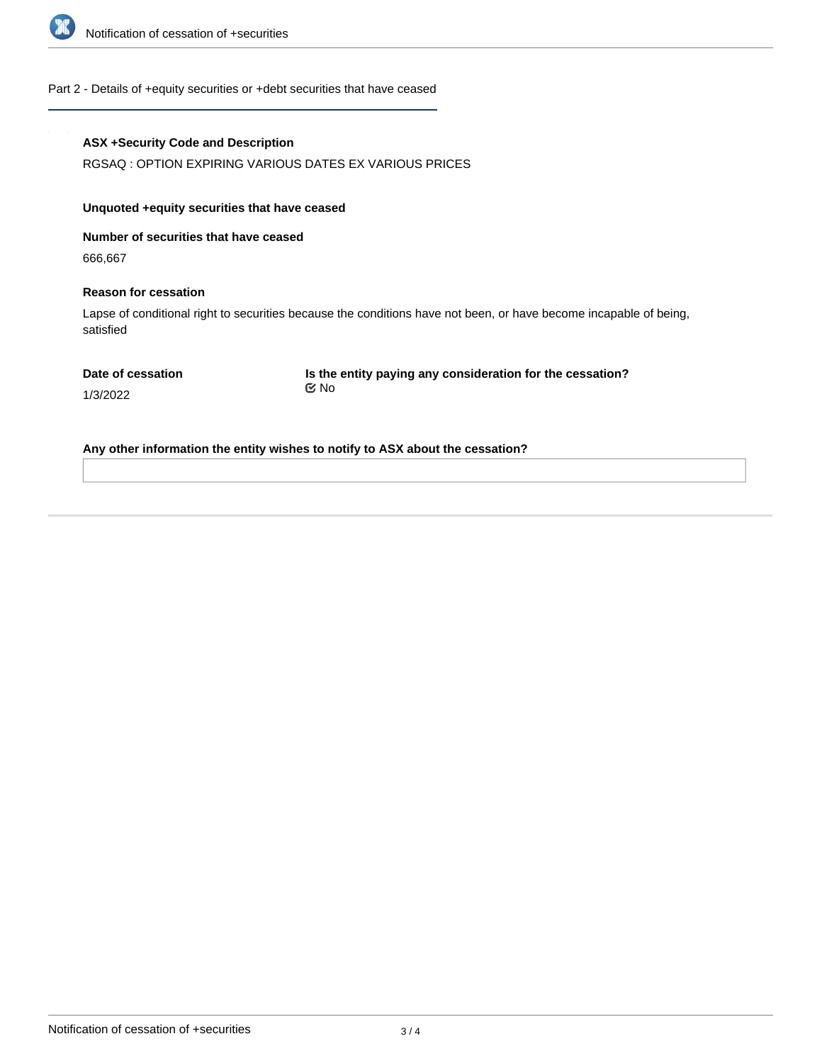

#### Part 2 - Details of +equity securities or +debt securities that have ceased

#### **ASX +Security Code and Description**

RGSAQ : OPTION EXPIRING VARIOUS DATES EX VARIOUS PRICES

### **Unquoted +equity securities that have ceased**

**Number of securities that have ceased**

666,667

#### **Reason for cessation**

Lapse of conditional right to securities because the conditions have not been, or have become incapable of being, satisfied

**Date of cessation**

**Is the entity paying any consideration for the cessation?** No

1/3/2022

**Any other information the entity wishes to notify to ASX about the cessation?**